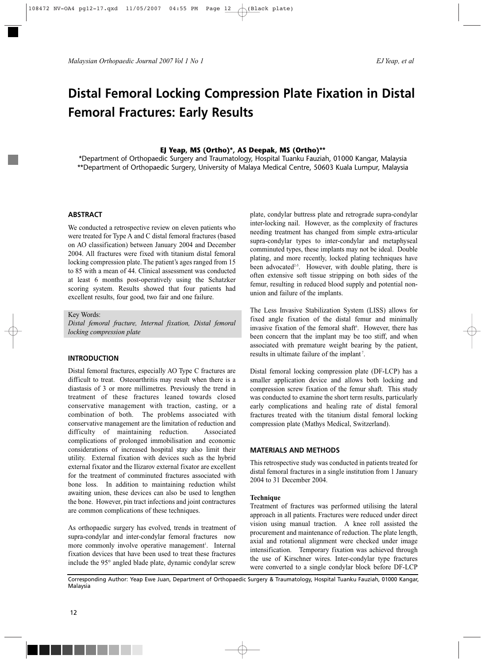*Malaysian Orthopaedic Journal 2007 Vol 1 No 1 EJ Yeap, et al*

# **Distal Femoral Locking Compression Plate Fixation in Distal Femoral Fractures: Early Results**

# **EJ Yeap, MS (Ortho)\*, AS Deepak, MS (Ortho)\*\***

\*Department of Orthopaedic Surgery and Traumatology, Hospital Tuanku Fauziah, 01000 Kangar, Malaysia \*\*Department of Orthopaedic Surgery, University of Malaya Medical Centre, 50603 Kuala Lumpur, Malaysia

# **ABSTRACT**

We conducted a retrospective review on eleven patients who were treated for Type A and C distal femoral fractures (based on AO classification) between January 2004 and December 2004. All fractures were fixed with titanium distal femoral locking compression plate. The patient's ages ranged from 15 to 85 with a mean of 44. Clinical assessment was conducted at least 6 months post-operatively using the Schatzker scoring system. Results showed that four patients had excellent results, four good, two fair and one failure.

#### Key Words:

*Distal femoral fracture, Internal fixation, Distal femoral locking compression plate*

# **INTRODUCTION**

Distal femoral fractures, especially AO Type C fractures are difficult to treat. Osteoarthritis may result when there is a diastasis of 3 or more millimetres. Previously the trend in treatment of these fractures leaned towards closed conservative management with traction, casting, or a combination of both. The problems associated with conservative management are the limitation of reduction and difficulty of maintaining reduction. Associated complications of prolonged immobilisation and economic considerations of increased hospital stay also limit their utility. External fixation with devices such as the hybrid external fixator and the Ilizarov external fixator are excellent for the treatment of comminuted fractures associated with bone loss. In addition to maintaining reduction whilst awaiting union, these devices can also be used to lengthen the bone. However, pin tract infections and joint contractures are common complications of these techniques.

As orthopaedic surgery has evolved, trends in treatment of supra-condylar and inter-condylar femoral fractures now more commonly involve operative management<sup>1</sup>. Internal fixation devices that have been used to treat these fractures include the 95° angled blade plate, dynamic condylar screw

plate, condylar buttress plate and retrograde supra-condylar inter-locking nail. However, as the complexity of fractures needing treatment has changed from simple extra-articular supra-condylar types to inter-condylar and metaphyseal comminuted types, these implants may not be ideal. Double plating, and more recently, locked plating techniques have been advocated<sup>2-5</sup>. However, with double plating, there is often extensive soft tissue stripping on both sides of the femur, resulting in reduced blood supply and potential nonunion and failure of the implants.

The Less Invasive Stabilization System (LISS) allows for fixed angle fixation of the distal femur and minimally invasive fixation of the femoral shaft<sup>6</sup>. However, there has been concern that the implant may be too stiff, and when associated with premature weight bearing by the patient, results in ultimate failure of the implant<sup>7</sup>.

Distal femoral locking compression plate (DF-LCP) has a smaller application device and allows both locking and compression screw fixation of the femur shaft. This study was conducted to examine the short term results, particularly early complications and healing rate of distal femoral fractures treated with the titanium distal femoral locking compression plate (Mathys Medical, Switzerland).

#### **MATERIALS AND METHODS**

This retrospective study was conducted in patients treated for distal femoral fractures in a single institution from 1 January 2004 to 31 December 2004.

#### **Technique**

Treatment of fractures was performed utilising the lateral approach in all patients. Fractures were reduced under direct vision using manual traction. A knee roll assisted the procurement and maintenance of reduction. The plate length, axial and rotational alignment were checked under image intensification. Temporary fixation was achieved through the use of Kirschner wires. Inter-condylar type fractures were converted to a single condylar block before DF-LCP

Corresponding Author: Yeap Ewe Juan, Department of Orthopaedic Surgery & Traumatology, Hospital Tuanku Fauziah, 01000 Kangar, Malaysia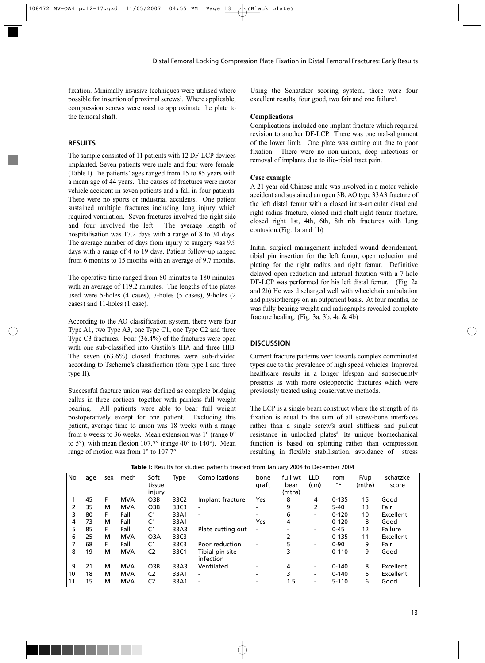Distal Femoral Locking Compression Plate Fixation in Distal Femoral Fractures: Early Results

fixation. Minimally invasive techniques were utilised where possible for insertion of proximal screws<sup>2</sup>. Where applicable, compression screws were used to approximate the plate to the femoral shaft.

# **RESULTS**

The sample consisted of 11 patients with 12 DF-LCP devices implanted. Seven patients were male and four were female. (Table I) The patients' ages ranged from 15 to 85 years with a mean age of 44 years. The causes of fractures were motor vehicle accident in seven patients and a fall in four patients. There were no sports or industrial accidents. One patient sustained multiple fractures including lung injury which required ventilation. Seven fractures involved the right side and four involved the left. The average length of hospitalisation was 17.2 days with a range of 8 to 34 days. The average number of days from injury to surgery was 9.9 days with a range of 4 to 19 days. Patient follow-up ranged from 6 months to 15 months with an average of 9.7 months.

The operative time ranged from 80 minutes to 180 minutes, with an average of 119.2 minutes. The lengths of the plates used were 5-holes (4 cases), 7-holes (5 cases), 9-holes (2 cases) and 11-holes (1 case).

According to the AO classification system, there were four Type A1, two Type A3, one Type C1, one Type C2 and three Type C3 fractures. Four (36.4%) of the fractures were open with one sub-classified into Gustilo's IIIA and three IIIB. The seven (63.6%) closed fractures were sub-divided according to Tscherne's classification (four type I and three type II).

Successful fracture union was defined as complete bridging callus in three cortices, together with painless full weight bearing. All patients were able to bear full weight postoperatively except for one patient. Excluding this patient, average time to union was 18 weeks with a range from 6 weeks to 36 weeks. Mean extension was 1° (range 0° to 5°), with mean flexion 107.7° (range 40° to 140°). Mean range of motion was from 1° to 107.7°.

Using the Schatzker scoring system, there were four excellent results, four good, two fair and one failure<sup>1</sup>.

#### **Complications**

Complications included one implant fracture which required revision to another DF-LCP. There was one mal-alignment of the lower limb. One plate was cutting out due to poor fixation. There were no non-unions, deep infections or removal of implants due to ilio-tibial tract pain.

#### **Case example**

A 21 year old Chinese male was involved in a motor vehicle accident and sustained an open 3B, AO type 33A3 fracture of the left distal femur with a closed intra-articular distal end right radius fracture, closed mid-shaft right femur fracture, closed right 1st, 4th, 6th, 8th rib fractures with lung contusion.(Fig. 1a and 1b)

Initial surgical management included wound debridement, tibial pin insertion for the left femur, open reduction and plating for the right radius and right femur. Definitive delayed open reduction and internal fixation with a 7-hole DF-LCP was performed for his left distal femur. (Fig. 2a and 2b) He was discharged well with wheelchair ambulation and physiotherapy on an outpatient basis. At four months, he was fully bearing weight and radiographs revealed complete fracture healing. (Fig. 3a, 3b, 4a & 4b)

# **DISCUSSION**

Current fracture patterns veer towards complex comminuted types due to the prevalence of high speed vehicles. Improved healthcare results in a longer lifespan and subsequently presents us with more osteoporotic fractures which were previously treated using conservative methods.

The LCP is a single beam construct where the strength of its fixation is equal to the sum of all screw-bone interfaces rather than a single screw's axial stiffness and pullout resistance in unlocked plates<sup>8</sup>. Its unique biomechanical function is based on splinting rather than compression resulting in flexible stabilisation, avoidance of stress

No age sex mech Soft Type Complications bone full wt LLD rom F/up schatzke tissue graft bear (cm) °\* (mths) score injury (mths)<br>03B 33C2 Implant\_fracture Yes 8 1 45 F MVA O3B 33C2 Implant fracture Yes 8 4 0-135 15 Good 2 35 M MVA O3B 33C3 - - 9 2 5-40 13 Fair 3 80 F Fall C1 33A1 - - 6 - 0-120 10 Excellent 4 73 M Fall C1 33A1 - Yes 4 - 0-120 8 Good 5 85 F Fall C1 33A3 Plate cutting out - - - 0-45 12 Failure 6 25 M MVA O3A 33C3 - - 2 - 0-135 11 Excellent 7 68 F Fall C1 33C3 Poor reduction - 5 - 0-90 9 Fair 8 19 M MVA C2 33C1 Tibial pin site - 3 - 0-110 9 Good infection 9 21 M MVA O3B 33A3 Ventilated - 4 - 0-140 8 Excellent 10 18 M MVA C2 33A1 - - 3 - 0-140 6 Excellent 11 15 M MVA C2 33A1 - - 1.5 - 5-110 6 Good

**Table I:** Results for studied patients treated from January 2004 to December 2004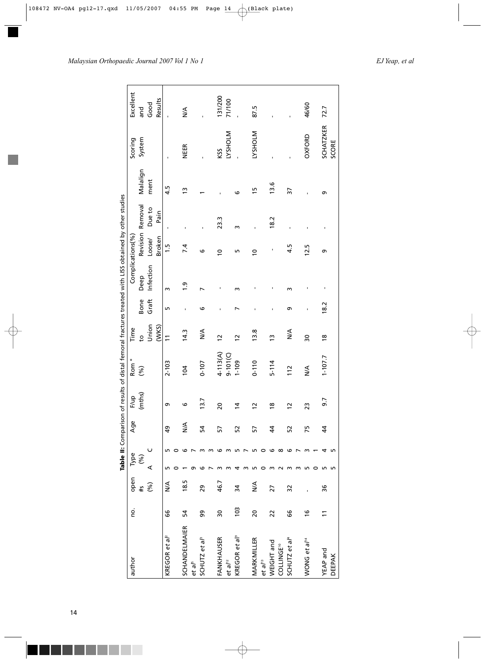# *Malaysian Orthopaedic Journal 2007 Vol 1 No 1 EJ Yeap, et al*

|                              |                |      |      |    | Table II: Comparison |                 | of results of distal femoral fractures treated with LISS obtained by other studies |                 |             |                  |                  |        |               |                  |           |
|------------------------------|----------------|------|------|----|----------------------|-----------------|------------------------------------------------------------------------------------|-----------------|-------------|------------------|------------------|--------|---------------|------------------|-----------|
| author                       | ġ              | open | Type |    | Age                  | F/up            | Rom <sup>°</sup>                                                                   | Time            |             | Complications(%) |                  |        |               | Scoring          | Excellent |
|                              |                | s#   | ે    |    |                      | (mths)          | (%)                                                                                | p<br>P          | <b>Bone</b> | Deep             | Revision Removal |        | Malalign      | System           | and       |
|                              |                | ે    | ⋖    |    |                      |                 |                                                                                    | Union           | Graft       | Infection Loose/ |                  | Due to | ment          |                  | Good      |
|                              |                |      |      |    |                      |                 |                                                                                    | (WKS)           |             |                  | Broken           | Pain   |               |                  | Results   |
| KREGOR et a $l^2$            | 99             | ≸    |      |    | 49                   | Ō               | 2-103                                                                              |                 | ۱           | m                | 1.5              |        | 4.5           |                  |           |
|                              |                |      |      |    |                      |                 |                                                                                    |                 |             |                  |                  |        |               |                  |           |
| <b>SCHANDELMAIER</b>         | 54             | 18.5 |      |    | ≸                    | ဖ               | 104                                                                                | 14.3            |             | $\ddot{ }$ .     | 7.4              |        | $\tilde{5}$   | <b>NEER</b>      | ≸         |
| et al <sup>5</sup>           |                |      |      |    |                      |                 |                                                                                    |                 |             |                  |                  |        |               |                  |           |
| SCHUTZ et al <sup>3</sup>    | 99             | 29   |      |    | Ŋ                    | 13.7            | $0 - 107$                                                                          | ≸               | ဖ           |                  | ဖ                |        |               |                  |           |
|                              |                |      |      |    |                      |                 |                                                                                    |                 |             |                  |                  |        |               |                  |           |
| FANKHAUSER                   | 30             | 46.7 |      |    | 5                    | 20              | $4 - 113(A)$                                                                       | $\overline{c}$  |             | ٠                | $\overline{a}$   | 23.3   |               | KSS              | 131/200   |
| $et$ a $l^{12}$              |                |      |      |    |                      |                 | $9 - 101$ (C)                                                                      |                 |             |                  |                  |        |               | <b>INJOHSAT</b>  | 71/100    |
| KREGOR et al <sup>9</sup>    | 103            | 34   |      |    | 52                   | $\ddot{a}$      | $1 - 109$                                                                          | $\overline{c}$  |             | m                | ь                | m      | ٯ             |                  |           |
|                              |                |      |      |    |                      |                 |                                                                                    |                 |             |                  |                  |        |               |                  |           |
| MARKMILLER                   | $\overline{6}$ | ≸    |      |    | 57                   | $\overline{12}$ | $0 - 110$                                                                          | 13.8            |             |                  | $\overline{a}$   |        | $\frac{1}{2}$ | <b>INTOFISAT</b> | 87.5      |
| et al <sup>13</sup>          |                |      |      |    |                      |                 |                                                                                    |                 |             |                  |                  |        |               |                  |           |
| WEIGHT and                   | 22             | 27   |      | ౷  | 4                    | $\frac{8}{2}$   | $5 - 114$                                                                          | $\tilde{c}$     |             |                  |                  | 18.2   | 13.6          |                  |           |
| <b>COLLINGE<sup>10</sup></b> |                |      |      | ∞  |                      |                 |                                                                                    |                 |             |                  |                  |        |               |                  |           |
| SCHUTZ et al <sup>4</sup>    | 66             | 32   |      | ౷  | 52                   | $\overline{12}$ | 112                                                                                | $\frac{4}{2}$   | Ō           | m                | 4.5              |        | 37            |                  |           |
|                              |                |      |      |    |                      |                 |                                                                                    |                 |             |                  |                  |        |               |                  |           |
| WONG et al <sup>14</sup>     | $\frac{6}{2}$  |      |      |    | 75                   | 23              | ≸                                                                                  | $\overline{30}$ |             |                  | 12.5             |        |               | OXFORD           | 46/60     |
|                              |                |      |      |    |                      |                 |                                                                                    |                 |             |                  |                  |        |               |                  |           |
| YEAP and                     | $\Xi$          | 96   |      |    | 4                    | 9.7             | $1 - 107.7$                                                                        | $\frac{8}{16}$  | 18.2        | ı                | თ                |        | Ō             | <b>SCHATZKER</b> | 72.7      |
| <b>DEEPAK</b>                |                |      | ь    | ١Л |                      |                 |                                                                                    |                 |             |                  |                  |        |               | SCORE            |           |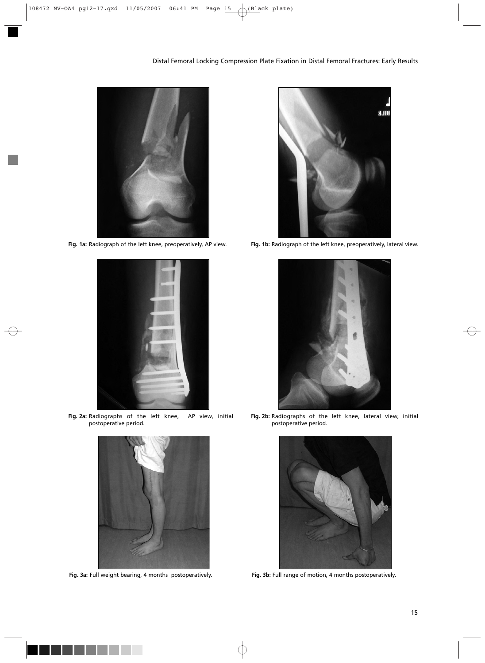# Distal Femoral Locking Compression Plate Fixation in Distal Femoral Fractures: Early Results





**Fig. 2a:** Radiographs of the left knee, AP view, initial postoperative period.



**Fig. 3a:** Full weight bearing, 4 months postoperatively. **Fig. 3b:** Full range of motion, 4 months postoperatively.



**Fig. 1a:** Radiograph of the left knee, preoperatively, AP view. **Fig. 1b:** Radiograph of the left knee, preoperatively, lateral view.



**Fig. 2b:** Radiographs of the left knee, lateral view, initial postoperative period.

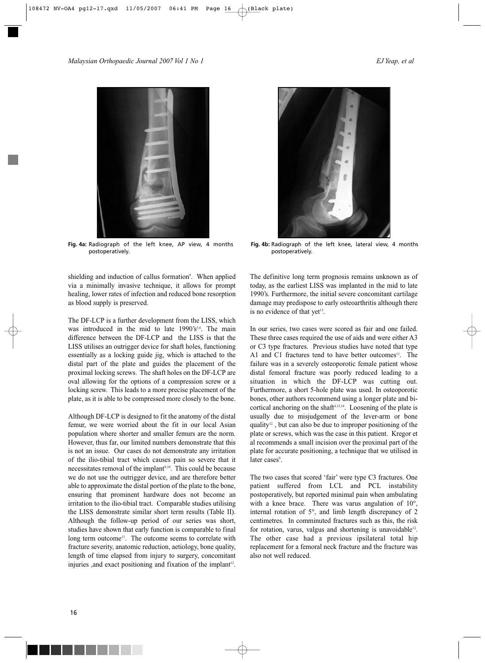### *Malaysian Orthopaedic Journal 2007 Vol 1 No 1 EJ Yeap, et al*



**Fig. 4a:** Radiograph of the left knee, AP view, 4 months postoperatively.

shielding and induction of callus formation<sup>9</sup>. When applied via a minimally invasive technique, it allows for prompt healing, lower rates of infection and reduced bone resorption as blood supply is preserved.

The DF-LCP is a further development from the LISS, which was introduced in the mid to late 1990's<sup>5,6</sup>. The main difference between the DF-LCP and the LISS is that the LISS utilises an outrigger device for shaft holes, functioning essentially as a locking guide jig, which is attached to the distal part of the plate and guides the placement of the proximal locking screws. The shaft holes on the DF-LCP are oval allowing for the options of a compression screw or a locking screw. This leads to a more precise placement of the plate, as it is able to be compressed more closely to the bone.

Although DF-LCP is designed to fit the anatomy of the distal femur, we were worried about the fit in our local Asian population where shorter and smaller femurs are the norm. However, thus far, our limited numbers demonstrate that this is not an issue. Our cases do not demonstrate any irritation of the ilio-tibial tract which causes pain so severe that it necessitates removal of the implant<sup>9,10</sup>. This could be because we do not use the outrigger device, and are therefore better able to approximate the distal portion of the plate to the bone, ensuring that prominent hardware does not become an irritation to the ilio-tibial tract. Comparable studies utilising the LISS demonstrate similar short term results (Table II). Although the follow-up period of our series was short, studies have shown that early function is comparable to final long term outcome<sup>11</sup>. The outcome seems to correlate with fracture severity, anatomic reduction, aetiology, bone quality, length of time elapsed from injury to surgery, concomitant injuries , and exact positioning and fixation of the implant<sup>12</sup>.



**Fig. 4b:** Radiograph of the left knee, lateral view, 4 months postoperatively.

The definitive long term prognosis remains unknown as of today, as the earliest LISS was implanted in the mid to late 1990's. Furthermore, the initial severe concomitant cartilage damage may predispose to early osteoarthritis although there is no evidence of that yet<sup>13</sup>.

In our series, two cases were scored as fair and one failed. These three cases required the use of aids and were either A3 or C3 type fractures. Previous studies have noted that type A1 and C1 fractures tend to have better outcomes<sup>11</sup>. The failure was in a severely osteoporotic female patient whose distal femoral fracture was poorly reduced leading to a situation in which the DF-LCP was cutting out. Furthermore, a short 5-hole plate was used. In osteoporotic bones, other authors recommend using a longer plate and bicortical anchoring on the shaft<sup>4,12,14</sup>. Loosening of the plate is usually due to misjudgement of the lever-arm or bone quality $12$ , but can also be due to improper positioning of the plate or screws, which was the case in this patient. Kregor et al recommends a small incision over the proximal part of the plate for accurate positioning, a technique that we utilised in later cases<sup>9</sup>.

The two cases that scored 'fair' were type C3 fractures. One patient suffered from LCL and PCL instability postoperatively, but reported minimal pain when ambulating with a knee brace. There was varus angulation of 10°, internal rotation of 5°, and limb length discrepancy of 2 centimetres. In comminuted fractures such as this, the risk for rotation, varus, valgus and shortening is unavoidable<sup>12</sup>. The other case had a previous ipsilateral total hip replacement for a femoral neck fracture and the fracture was also not well reduced.